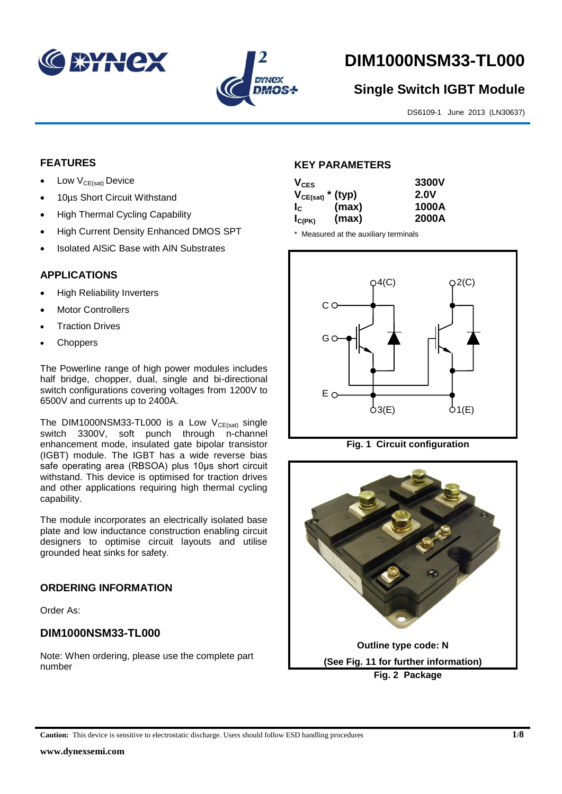



# **DIM1000NSM33-TL000**

# **Single Switch IGBT Module**

DS6109-1 June 2013 (LN30637)

# **FEATURES**

- Low  $V_{CE(sat)}$  Device
- 10µs Short Circuit Withstand
- High Thermal Cycling Capability
- High Current Density Enhanced DMOS SPT
- Isolated AlSiC Base with AlN Substrates

# **APPLICATIONS**

- High Reliability Inverters
- Motor Controllers
- Traction Drives
- **Choppers**

The Powerline range of high power modules includes half bridge, chopper, dual, single and bi-directional switch configurations covering voltages from 1200V to 6500V and currents up to 2400A.

The DIM1000NSM33-TL000 is a Low  $V_{CE(sat)}$  single switch 3300V, soft punch through n-channel enhancement mode, insulated gate bipolar transistor (IGBT) module. The IGBT has a wide reverse bias safe operating area (RBSOA) plus 10μs short circuit withstand. This device is optimised for traction drives and other applications requiring high thermal cycling capability.

The module incorporates an electrically isolated base plate and low inductance construction enabling circuit designers to optimise circuit layouts and utilise grounded heat sinks for safety.

# **ORDERING INFORMATION**

Order As:

# **DIM1000NSM33-TL000**

Note: When ordering, please use the complete part number

### **KEY PARAMETERS**

| $V_{CES}$             |       | 3300V       |
|-----------------------|-------|-------------|
| $V_{CE(sat)}$ * (typ) |       | <b>2.0V</b> |
| $I_{\rm c}$           | (max) | 1000A       |
| $I_{C(PK)}$           | (max) | 2000A       |

\* Measured at the auxiliary terminals



**Fig. 1 Circuit configuration**

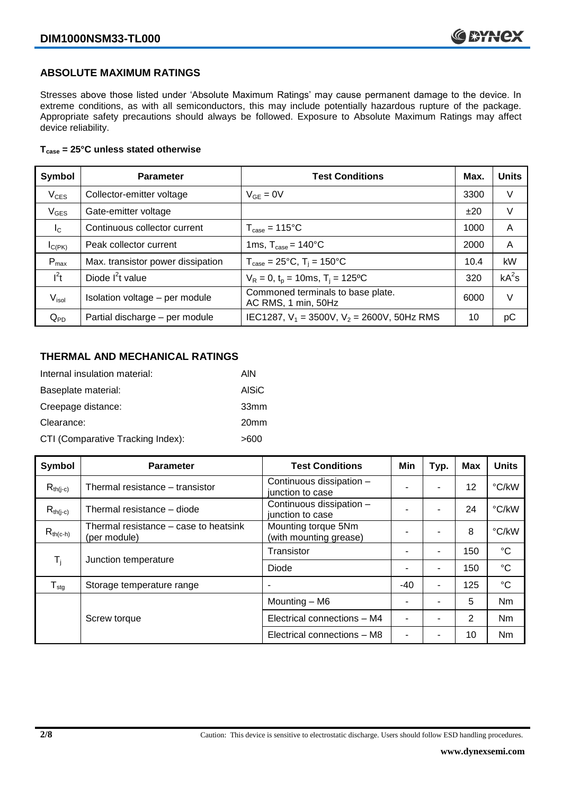# **ABSOLUTE MAXIMUM RATINGS**

Stresses above those listed under 'Absolute Maximum Ratings' may cause permanent damage to the device. In extreme conditions, as with all semiconductors, this may include potentially hazardous rupture of the package. Appropriate safety precautions should always be followed. Exposure to Absolute Maximum Ratings may affect device reliability.

#### **Tcase = 25°C unless stated otherwise**

| Symbol           | <b>Parameter</b>                  | <b>Test Conditions</b>                                   | Max. | <b>Units</b> |
|------------------|-----------------------------------|----------------------------------------------------------|------|--------------|
| $V_{CES}$        | Collector-emitter voltage         | $V_{GE} = 0V$                                            | 3300 | V            |
| $V_{GES}$        | Gate-emitter voltage              |                                                          | ±20  | V            |
| $I_{\rm C}$      | Continuous collector current      | $T_{\text{case}} = 115^{\circ}C$                         | 1000 | A            |
| $I_{C(PK)}$      | Peak collector current            | 1ms, $T_{\text{case}} = 140^{\circ}$ C                   | 2000 | A            |
| $P_{\text{max}}$ | Max. transistor power dissipation | $T_{\text{case}} = 25^{\circ}C$ , $T_i = 150^{\circ}C$   | 10.4 | kW           |
| $I^2t$           | Diode $I^2t$ value                | $V_R = 0$ , $t_p = 10$ ms, $T_i = 125$ °C                | 320  | $kA^2s$      |
| $V_{\sf isol}$   | Isolation voltage - per module    | Commoned terminals to base plate.<br>AC RMS, 1 min, 50Hz | 6000 | V            |
| $Q_{PD}$         | Partial discharge - per module    | IEC1287, $V_1 = 3500V$ , $V_2 = 2600V$ , 50Hz RMS        | 10   | рC           |

# **THERMAL AND MECHANICAL RATINGS**

| Internal insulation material:     | AIN              |
|-----------------------------------|------------------|
| Baseplate material:               | <b>AISiC</b>     |
| Creepage distance:                | 33mm             |
| Clearance:                        | 20 <sub>mm</sub> |
| CTI (Comparative Tracking Index): | >600             |

| Symbol                       | <b>Parameter</b>                                      | <b>Test Conditions</b>                        | Min   | Typ. | <b>Max</b> | <b>Units</b>    |
|------------------------------|-------------------------------------------------------|-----------------------------------------------|-------|------|------------|-----------------|
| $R_{th(j-c)}$                | Thermal resistance - transistor                       | Continuous dissipation -<br>junction to case  |       | ۰    | 12         | °C/kW           |
| $R_{th(i-c)}$                | Thermal resistance - diode                            | Continuous dissipation -<br>junction to case  |       | ۰    | 24         | °C/kW           |
| $R_{th(c-h)}$                | Thermal resistance – case to heatsink<br>(per module) | Mounting torque 5Nm<br>(with mounting grease) |       |      | 8          | °C/kW           |
| $\mathsf{T}_{\mathsf{i}}$    | Junction temperature                                  | Transistor                                    |       | ۰    | 150        | $^{\circ}C$     |
|                              |                                                       | Diode                                         |       | -    | 150        | $\rm ^{\circ}C$ |
| ${\mathsf T}_{\textsf{stg}}$ | Storage temperature range                             |                                               | $-40$ | ۰    | 125        | $\rm ^{\circ}C$ |
|                              |                                                       | Mounting - M6                                 |       |      | 5          | Nm              |
|                              | Screw torque                                          | Electrical connections - M4                   |       | ۰    | 2          | Nm              |
|                              |                                                       | Electrical connections - M8                   |       |      | 10         | Nm              |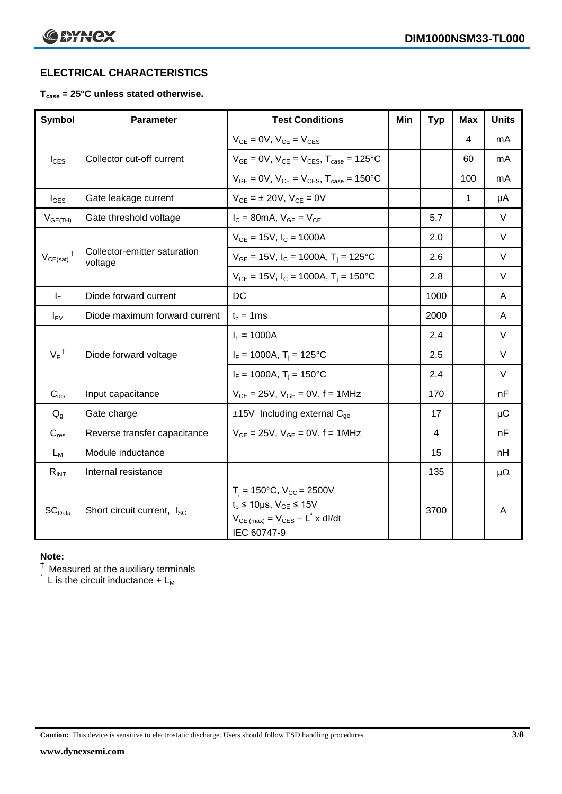# **ELECTRICAL CHARACTERISTICS**

### **Tcase = 25°C unless stated otherwise.**

| <b>Symbol</b>      | <b>Parameter</b>                        | <b>Test Conditions</b>                                                                                                                                 | Min | <b>Typ</b> | <b>Max</b> | <b>Units</b> |
|--------------------|-----------------------------------------|--------------------------------------------------------------------------------------------------------------------------------------------------------|-----|------------|------------|--------------|
|                    |                                         | $V_{GE} = 0V$ , $V_{CE} = V_{CES}$                                                                                                                     |     |            | 4          | mA           |
| $I_{\text{CES}}$   | Collector cut-off current               | $V_{GE} = 0V$ , $V_{CE} = V_{CES}$ , $T_{case} = 125$ °C                                                                                               |     |            | 60         | mA           |
|                    |                                         | $V_{GE}$ = 0V, $V_{CE}$ = $V_{CES}$ , $T_{case}$ = 150°C                                                                                               |     |            | 100        | mA           |
| $I_{\text{GES}}$   | Gate leakage current                    | $V_{GE} = \pm 20V$ , $V_{CE} = 0V$                                                                                                                     |     |            | 1          | μA           |
| $V_{GE(TH)}$       | Gate threshold voltage                  | $I_C = 80$ mA, $V_{GE} = V_{CE}$                                                                                                                       |     | 5.7        |            | $\vee$       |
|                    |                                         | $V_{GE}$ = 15V, $I_C$ = 1000A                                                                                                                          |     | 2.0        |            | $\vee$       |
| $V_{CE(sat)}$      | Collector-emitter saturation<br>voltage | $V_{GE}$ = 15V, I <sub>C</sub> = 1000A, T <sub>i</sub> = 125°C                                                                                         |     | 2.6        |            | $\vee$       |
|                    |                                         | $V_{GE}$ = 15V, $I_C$ = 1000A, $T_i$ = 150°C                                                                                                           |     | 2.8        |            | $\vee$       |
| $I_F$              | Diode forward current                   | DC                                                                                                                                                     |     | 1000       |            | A            |
| $I_{FM}$           | Diode maximum forward current           | $t_p = 1$ ms                                                                                                                                           |     | 2000       |            | A            |
|                    |                                         | $I_F = 1000A$                                                                                                                                          |     | 2.4        |            | $\vee$       |
| $V_F$ <sup>†</sup> | Diode forward voltage                   | $I_F = 1000A$ , $T_i = 125^{\circ}C$                                                                                                                   |     | 2.5        |            | $\vee$       |
|                    |                                         | $I_F = 1000A$ , $T_i = 150^{\circ}C$                                                                                                                   |     | 2.4        |            | $\vee$       |
| $C_{\text{ies}}$   | Input capacitance                       | $V_{CE} = 25V$ , $V_{GE} = 0V$ , $f = 1MHz$                                                                                                            |     | 170        |            | nF           |
| $Q_{q}$            | Gate charge                             | $±15V$ Including external C <sub>ge</sub>                                                                                                              |     | 17         |            | $\mu$ C      |
| $C_{res}$          | Reverse transfer capacitance            | $V_{CE} = 25V$ , $V_{GE} = 0V$ , $f = 1MHz$                                                                                                            |     | 4          |            | nF           |
| $L_M$              | Module inductance                       |                                                                                                                                                        |     | 15         |            | nH           |
| $R_{INT}$          | Internal resistance                     |                                                                                                                                                        |     | 135        |            | $\mu\Omega$  |
| SC <sub>Data</sub> | Short circuit current, I <sub>SC</sub>  | $T_i = 150^{\circ}C$ , $V_{CC} = 2500V$<br>$t_p \le 10 \mu s$ , $V_{GE} \le 15V$<br>$V_{CE \text{ (max)}} = V_{CES} - L^* \times dl/dt$<br>IEC 60747-9 |     | 3700       |            | A            |

# **Note:**

 $^\dagger$  Measured at the auxiliary terminals

 $\check{}$  L is the circuit inductance + L<sub>M</sub>

**Caution:** This device is sensitive to electrostatic discharge. Users should follow ESD handling procedures **3/8**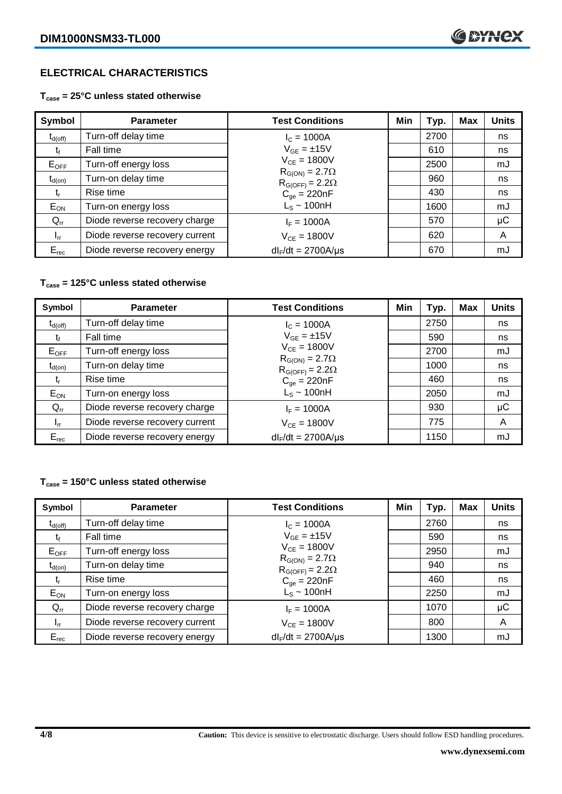# **ELECTRICAL CHARACTERISTICS**

**Tcase = 25°C unless stated otherwise**

| Symbol              | <b>Parameter</b>               | <b>Test Conditions</b>                              | Min | Typ. | <b>Max</b> | <b>Units</b> |
|---------------------|--------------------------------|-----------------------------------------------------|-----|------|------------|--------------|
| $t_{d(\text{off})}$ | Turn-off delay time            | $I_c = 1000A$                                       |     | 2700 |            | ns           |
| Ţt                  | Fall time                      | $V_{GF} = \pm 15V$                                  |     | 610  |            | ns           |
| $E_{OFF}$           | Turn-off energy loss           | $V_{CF} = 1800V$                                    |     | 2500 |            | mJ           |
| $t_{d(on)}$         | Turn-on delay time             | $R_{G(ON)} = 2.7\Omega$<br>$R_{G(OFF)} = 2.2\Omega$ |     | 960  |            | ns           |
| t,                  | Rise time                      | $C_{qe} = 220nF$                                    |     | 430  |            | ns           |
| $E_{ON}$            | Turn-on energy loss            | $L_s \sim 100nH$                                    |     | 1600 |            | mJ           |
| $Q_{rr}$            | Diode reverse recovery charge  | $I_F = 1000A$                                       |     | 570  |            | $\mu$ C      |
| $I_{rr}$            | Diode reverse recovery current | $V_{CF} = 1800V$                                    |     | 620  |            | A            |
| $E_{rec}$           | Diode reverse recovery energy  | $dl_F/dt = 2700A/\mu s$                             |     | 670  |            | mJ           |

#### **Tcase = 125°C unless stated otherwise**

| Symbol              | <b>Parameter</b>               | <b>Test Conditions</b>                              | Min | Typ. | <b>Max</b> | <b>Units</b> |
|---------------------|--------------------------------|-----------------------------------------------------|-----|------|------------|--------------|
| $t_{d(\text{off})}$ | Turn-off delay time            | $I_c = 1000A$                                       |     | 2750 |            | ns           |
| τŧ                  | Fall time                      | $V_{GF} = \pm 15V$                                  |     | 590  |            | ns           |
| $E_{OFF}$           | Turn-off energy loss           | $V_{CE} = 1800V$                                    |     | 2700 |            | mJ           |
| $t_{d(on)}$         | Turn-on delay time             | $R_{G(ON)} = 2.7\Omega$<br>$R_{G(OFF)} = 2.2\Omega$ |     | 1000 |            | ns           |
| t,                  | Rise time                      | $C_{qe} = 220nF$                                    |     | 460  |            | ns           |
| $E_{ON}$            | Turn-on energy loss            | $L_s \sim 100nH$                                    |     | 2050 |            | mJ           |
| $Q_{rr}$            | Diode reverse recovery charge  | $I_F = 1000A$                                       |     | 930  |            | μC           |
| $I_{rr}$            | Diode reverse recovery current | $V_{CE} = 1800V$                                    |     | 775  |            | A            |
| $E_{rec}$           | Diode reverse recovery energy  | $dl_F/dt = 2700A/\mu s$                             |     | 1150 |            | mJ           |

### **Tcase = 150°C unless stated otherwise**

| Symbol              | <b>Parameter</b>               | <b>Test Conditions</b>                              | Min | Typ. | Max | <b>Units</b> |
|---------------------|--------------------------------|-----------------------------------------------------|-----|------|-----|--------------|
| $t_{d(\text{off})}$ | Turn-off delay time            | $I_c = 1000A$                                       |     | 2760 |     | ns           |
| t                   | Fall time                      | $V_{GE} = \pm 15V$                                  |     | 590  |     | ns           |
| $E_{OFF}$           | Turn-off energy loss           | $V_{CE} = 1800V$                                    |     | 2950 |     | mJ           |
| $t_{d(on)}$         | Turn-on delay time             | $R_{G(ON)} = 2.7\Omega$<br>$R_{G(OFF)} = 2.2\Omega$ |     | 940  |     | ns           |
| t,                  | Rise time                      | $C_{qe} = 220nF$                                    |     | 460  |     | ns           |
| $E_{ON}$            | Turn-on energy loss            | $L_s \sim 100$ nH                                   |     | 2250 |     | mJ           |
| $Q_{rr}$            | Diode reverse recovery charge  | $I_F = 1000A$                                       |     | 1070 |     | μC           |
| $I_{rr}$            | Diode reverse recovery current | $V_{CF} = 1800V$                                    |     | 800  |     | A            |
| $E_{rec}$           | Diode reverse recovery energy  | $dl_F/dt = 2700A/\mu s$                             |     | 1300 |     | mJ           |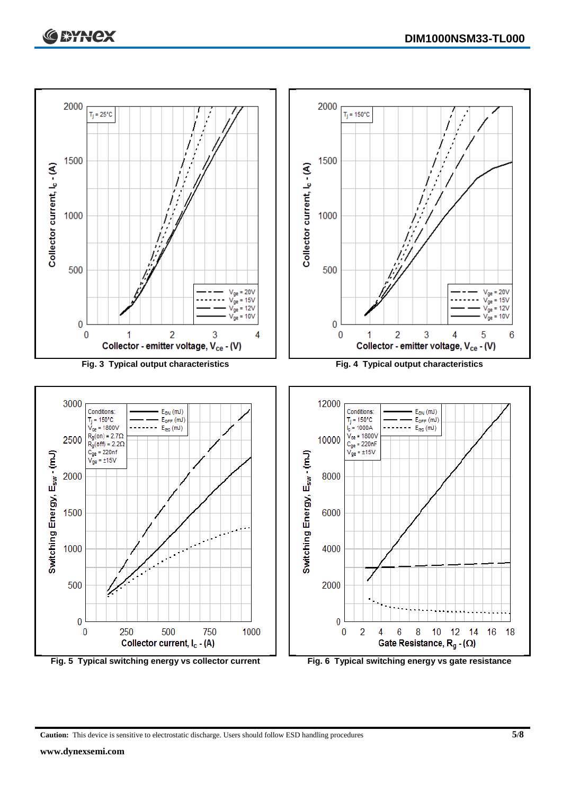

**Caution:** This device is sensitive to electrostatic discharge. Users should follow ESD handling procedures **5/8**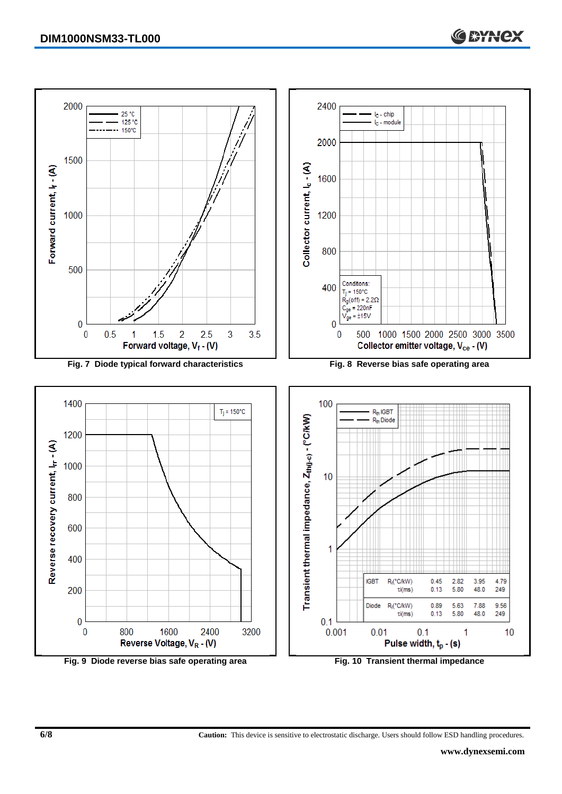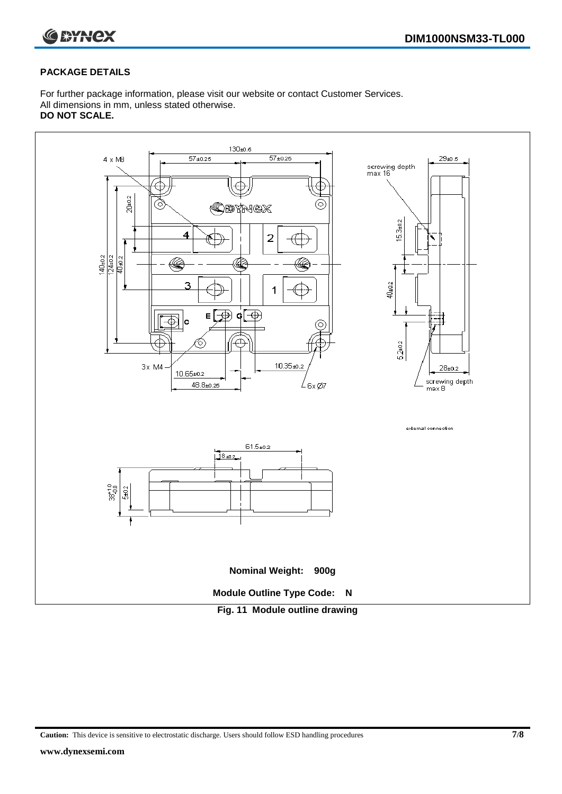



#### **PACKAGE DETAILS**

For further package information, please visit our website or contact Customer Services. All dimensions in mm, unless stated otherwise. **DO NOT SCALE.**



**Caution:** This device is sensitive to electrostatic discharge. Users should follow ESD handling procedures **7/8**